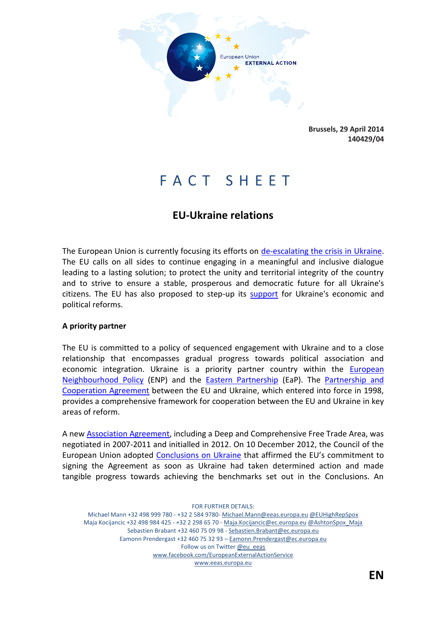

**Brussels, 29 April 2014 140429/04**

# F A C T S H E E T

# **EU-Ukraine relations**

The European Union is currently focusing its efforts on [de-escalating the crisis in](http://www.consilium.europa.eu/uedocs/cms_Data/docs/pressdata/en/ec/141372.pdf) Ukraine. The EU calls on all sides to continue engaging in a meaningful and inclusive dialogue leading to a lasting solution; to protect the unity and territorial integrity of the country and to strive to ensure a stable, prosperous and democratic future for all Ukraine's citizens. The EU has also proposed to step-up its [support](http://europa.eu/rapid/press-release_MEMO-14-159_en.htm) for Ukraine's economic and political reforms.

## **A priority partner**

The EU is committed to a policy of sequenced engagement with Ukraine and to a close relationship that encompasses gradual progress towards political association and economic integration. Ukraine is a priority partner country within the [European](http://www.eeas.europa.eu/enp/index_en.htm)  [Neighbourhood Policy](http://www.eeas.europa.eu/enp/index_en.htm) (ENP) and the [Eastern Partnership](http://www.eeas.europa.eu/eastern/index_en.htm) (EaP). The [Partnership and](http://ec.europa.eu/world/agreements/downloadFile.do?fullText=yes&treatyTransId=659)  [Cooperation Agreement](http://ec.europa.eu/world/agreements/downloadFile.do?fullText=yes&treatyTransId=659) between the EU and Ukraine, which entered into force in 1998, provides a comprehensive framework for cooperation between the EU and Ukraine in key areas of reform.

A new [Association Agreement,](http://www.eeas.europa.eu/top_stories/2012/140912_ukraine_en.htm) including a Deep and Comprehensive Free Trade Area, was negotiated in 2007-2011 and initialled in 2012. On 10 December 2012, the Council of the European Union adopted [Conclusions on Ukraine](http://www.consilium.europa.eu/uedocs/cms_Data/docs/pressdata/EN/foraff/134136.pdf) that affirmed the EU's commitment to signing the Agreement as soon as Ukraine had taken determined action and made tangible progress towards achieving the benchmarks set out in the Conclusions. An

FOR FURTHER DETAILS: Michael Mann +32 498 999 780 - +32 2 584 9780- Michael.Mann@eeas.europa.eu @EUHighRepSpox Maja Kocijancic +32 498 984 425 - +32 2 298 65 70 - Maja.Kocijancic@ec.europa.eu @AshtonSpox\_Maja Sebastien Brabant +32 460 75 09 98 - Sebastien.Brabant@ec.europa.eu Eamonn Prendergast +32 460 75 32 93 – Eamonn.Prendergast@ec.europa.eu Follow us on Twitter @eu\_eeas www.facebook.com/EuropeanExternalActionService www.eeas.europa.eu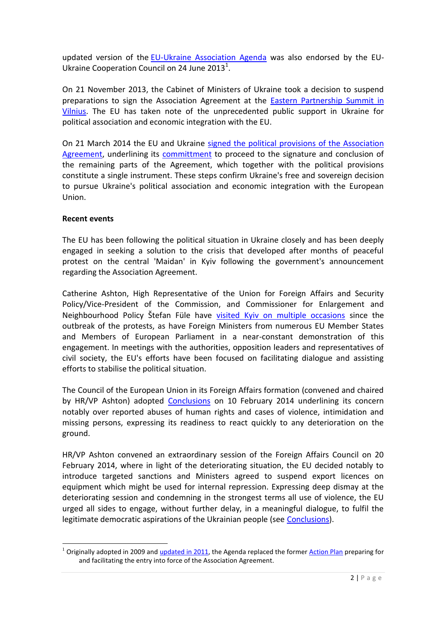updated version of the [EU-Ukraine Association Agenda](http://www.eeas.europa.eu/ukraine/docs/eu_ukr_ass_agenda_24jun2013.pdf) was also endorsed by the EU-Ukraine Cooperation Council on 24 June 2013<sup>1</sup>.

On 21 November 2013, the Cabinet of Ministers of Ukraine took a decision to suspend preparations to sign the Association Agreement at the [Eastern Partnership Summit in](http://eeas.europa.eu/statements/docs/2013/131129_05_en.pdf)  [Vilnius.](http://eeas.europa.eu/statements/docs/2013/131129_05_en.pdf) The EU has taken note of the unprecedented public support in Ukraine for political association and economic integration with the EU.

On 21 March 2014 the EU and Ukraine [signed the political provisions of the Association](http://www.consilium.europa.eu/uedocs/cms_Data/docs/pressdata/en/ec/141733.pdf)  [Agreement,](http://www.consilium.europa.eu/uedocs/cms_Data/docs/pressdata/en/ec/141733.pdf) underlining its [committment](http://www.consilium.europa.eu/uedocs/cms_data/docs/pressdata/EN/foraff/141601.pdf) to proceed to the signature and conclusion of the remaining parts of the Agreement, which together with the political provisions constitute a single instrument. These steps confirm Ukraine's free and sovereign decision to pursue Ukraine's political association and economic integration with the European Union.

# **Recent events**

**.** 

The EU has been following the political situation in Ukraine closely and has been deeply engaged in seeking a solution to the crisis that developed after months of peaceful protest on the central 'Maidan' in Kyiv following the government's announcement regarding the Association Agreement.

Catherine Ashton, High Representative of the Union for Foreign Affairs and Security Policy/Vice-President of the Commission, and Commissioner for Enlargement and Neighbourhood Policy Štefan Füle have [visited Kyiv on multiple occasions](http://www.eeas.europa.eu/statements/docs/2014/140225_01_en.pdf) since the outbreak of the protests, as have Foreign Ministers from numerous EU Member States and Members of European Parliament in a near-constant demonstration of this engagement. In meetings with the authorities, opposition leaders and representatives of civil society, the EU's efforts have been focused on facilitating dialogue and assisting efforts to stabilise the political situation.

The Council of the European Union in its Foreign Affairs formation (convened and chaired by HR/VP Ashton) adopted [Conclusions](http://www.consilium.europa.eu/uedocs/cms_data/docs/pressdata/EN/foraff/140960.pdf) on 10 February 2014 underlining its concern notably over reported abuses of human rights and cases of violence, intimidation and missing persons, expressing its readiness to react quickly to any deterioration on the ground.

HR/VP Ashton convened an extraordinary session of the Foreign Affairs Council on 20 February 2014, where in light of the deteriorating situation, the EU decided notably to introduce targeted sanctions and Ministers agreed to suspend export licences on equipment which might be used for internal repression. Expressing deep dismay at the deteriorating session and condemning in the strongest terms all use of violence, the EU urged all sides to engage, without further delay, in a meaningful dialogue, to fulfil the legitimate democratic aspirations of the Ukrainian people (see [Conclusions\)](http://www.consilium.europa.eu/uedocs/cms_data/docs/pressdata/EN/foraff/141110.pdf).

 $1$  Originally adopted in 2009 and [updated in 2011,](http://www.eeas.europa.eu/ukraine/docs/2010_eu_ukraine_association_agenda_en.pdf) the Agenda replaced the former [Action Plan](http://ec.europa.eu/world/enp/pdf/action_plans/ukraine_enp_ap_final_en.pdf) preparing for and facilitating the entry into force of the Association Agreement.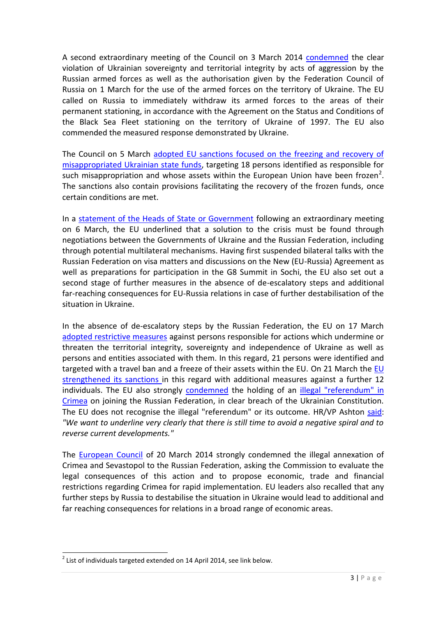A second extraordinary meeting of the Council on 3 March 2014 [condemned](http://www.consilium.europa.eu/uedocs/cms_data/docs/pressdata/EN/foraff/141291.pdf) the clear violation of Ukrainian sovereignty and territorial integrity by acts of aggression by the Russian armed forces as well as the authorisation given by the Federation Council of Russia on 1 March for the use of the armed forces on the territory of Ukraine. The EU called on Russia to immediately withdraw its armed forces to the areas of their permanent stationing, in accordance with the Agreement on the Status and Conditions of the Black Sea Fleet stationing on the territory of Ukraine of 1997. The EU also commended the measured response demonstrated by Ukraine.

The Council on 5 March adopted EU sanctions focused on the freezing and recovery of [misappropriated Ukrainian state funds,](http://www.consilium.europa.eu/uedocs/cms_Data/docs/pressdata/EN/foraff/141324.pdf) targeting 18 persons identified as responsible for such misappropriation and whose assets within the European Union have been frozen<sup>2</sup>. The sanctions also contain provisions facilitating the recovery of the frozen funds, once certain conditions are met.

In a [statement of the Heads of State or Government](http://www.consilium.europa.eu/uedocs/cms_Data/docs/pressdata/en/ec/141372.pdf) following an extraordinary meeting on 6 March, the EU underlined that a solution to the crisis must be found through negotiations between the Governments of Ukraine and the Russian Federation, including through potential multilateral mechanisms. Having first suspended bilateral talks with the Russian Federation on visa matters and discussions on the New (EU-Russia) Agreement as well as preparations for participation in the G8 Summit in Sochi, the EU also set out a second stage of further measures in the absence of de-escalatory steps and additional far-reaching consequences for EU-Russia relations in case of further destabilisation of the situation in Ukraine.

In the absence of de-escalatory steps by the Russian Federation, the EU on 17 March [adopted restrictive measures](http://www.consilium.europa.eu/uedocs/cms_data/docs/pressdata/EN/foraff/141603.pdf) against persons responsible for actions which undermine or threaten the territorial integrity, sovereignty and independence of Ukraine as well as persons and entities associated with them. In this regard, 21 persons were identified and targeted with a travel ban and a freeze of their assets within the EU. On 21 March the EU [strengthened its sanctions i](http://www.consilium.europa.eu/uedocs/cms_Data/docs/pressdata/EN/foraff/141741.pdf)n this regard with additional measures against a further 12 individuals. The EU also strongly [condemned](http://www.consilium.europa.eu/uedocs/cms_data/docs/pressdata/EN/foraff/141603.pdf) the holding of an *illegal "referendum" in* [Crimea](http://www.consilium.europa.eu/uedocs/cms_Data/docs/pressdata/en/ec/141566.pdf) on joining the Russian Federation, in clear breach of the Ukrainian Constitution. The EU does not recognise the illegal "referendum" or its outcome. HR/VP Ashton [said:](http://www.eeas.europa.eu/statements/docs/2014/140317_04_en.pdf) *"We want to underline very clearly that there is still time to avoid a negative spiral and to reverse current developments."*

The [European Council](http://www.consilium.europa.eu/uedocs/cms_Data/docs/pressdata/en/ec/141707.pdf) of 20 March 2014 strongly condemned the illegal annexation of Crimea and Sevastopol to the Russian Federation, asking the Commission to evaluate the legal consequences of this action and to propose economic, trade and financial restrictions regarding Crimea for rapid implementation. EU leaders also recalled that any further steps by Russia to destabilise the situation in Ukraine would lead to additional and far reaching consequences for relations in a broad range of economic areas.

**.** 

 $2$  List of individuals targeted extended on 14 April 2014, see link below.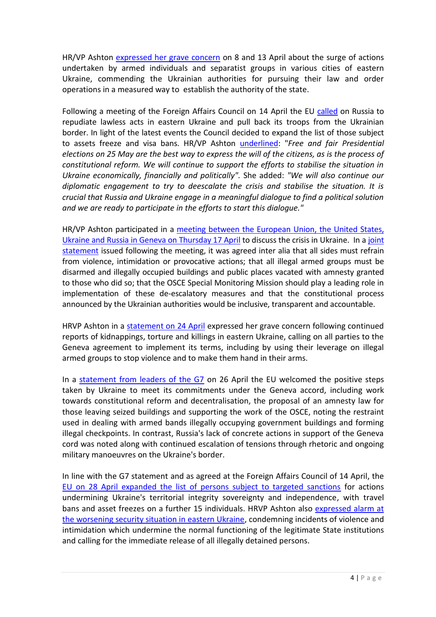HR/VP Ashton [expressed her grave concern](http://eeas.europa.eu/statements/docs/2014/140413_01_en.pdf) on 8 and 13 April about the surge of actions undertaken by armed individuals and separatist groups in various cities of eastern Ukraine, commending the Ukrainian authorities for pursuing their law and order operations in a measured way to establish the authority of the state.

Following a meeting of the Foreign Affairs Council on 14 April the EU [called](http://www.consilium.europa.eu/uedocs/cms_data/docs/pressdata/EN/foraff/142223.pdf) on Russia to repudiate lawless acts in eastern Ukraine and pull back its troops from the Ukrainian border. In light of the latest events the Council decided to expand the list of those subject to assets freeze and visa bans. HR/VP Ashton [underlined:](http://eeas.europa.eu/statements/docs/2014/140414_02_en.pdf) "*Free and fair Presidential elections on 25 May are the best way to express the will of the citizens, as is the process of constitutional reform. We will continue to support the efforts to stabilise the situation in Ukraine economically, financially and politically".* She added: *"We will also continue our diplomatic engagement to try to deescalate the crisis and stabilise the situation. It is crucial that Russia and Ukraine engage in a meaningful dialogue to find a political solution and we are ready to participate in the efforts to start this dialogue."*

HR/VP Ashton participated in a [meeting between the European Union, the United States,](http://eeas.europa.eu/statements/docs/2014/140411_04_en.pdf)  [Ukraine and Russia in Geneva on Thursday 17 April](http://eeas.europa.eu/statements/docs/2014/140411_04_en.pdf) to discuss the crisis in Ukraine. In [a joint](http://eeas.europa.eu/statements/docs/2014/140417_01_en.pdf)  [statement](http://eeas.europa.eu/statements/docs/2014/140417_01_en.pdf) issued following the meeting, it was agreed inter alia that all sides must refrain from violence, intimidation or provocative actions; that all illegal armed groups must be disarmed and illegally occupied buildings and public places vacated with amnesty granted to those who did so; that the OSCE Special Monitoring Mission should play a leading role in implementation of these de-escalatory measures and that the constitutional process announced by the Ukrainian authorities would be inclusive, transparent and accountable.

HRVP Ashton in a [statement on 24 April](http://eeas.europa.eu/statements/docs/2014/140424_01_en.pdf) expressed her grave concern following continued reports of kidnappings, torture and killings in eastern Ukraine, calling on all parties to the Geneva agreement to implement its terms, including by using their leverage on illegal armed groups to stop violence and to make them hand in their arms.

In a [statement from leaders of the G7](http://europa.eu/rapid/press-release_MEMO-14-318_en.htm) on 26 April the EU welcomed the positive steps taken by Ukraine to meet its commitments under the Geneva accord, including work towards constitutional reform and decentralisation, the proposal of an amnesty law for those leaving seized buildings and supporting the work of the OSCE, noting the restraint used in dealing with armed bands illegally occupying government buildings and forming illegal checkpoints. In contrast, Russia's lack of concrete actions in support of the Geneva cord was noted along with continued escalation of tensions through rhetoric and ongoing military manoeuvres on the Ukraine's border.

In line with the G7 statement and as agreed at the Foreign Affairs Council of 14 April, the [EU on 28 April expanded the list of persons subject to targeted sanctions](http://www.consilium.europa.eu/uedocs/cms_Data/docs/pressdata/EN/foraff/142411.pdf) for actions [undermining Ukraine's territorial integrity sovereignty and independence,](http://www.consilium.europa.eu/uedocs/cms_Data/docs/pressdata/EN/foraff/142411.pdf) with travel bans and asset freezes on a further 15 individuals. HRVP Ashton also expressed alarm at [the worsening security situation in eastern Ukraine,](http://eeas.europa.eu/statements/docs/2014/140429_02_en.pdf) condemning incidents of violence and intimidation which undermine the normal functioning of the legitimate State institutions and calling for the immediate release of all illegally detained persons.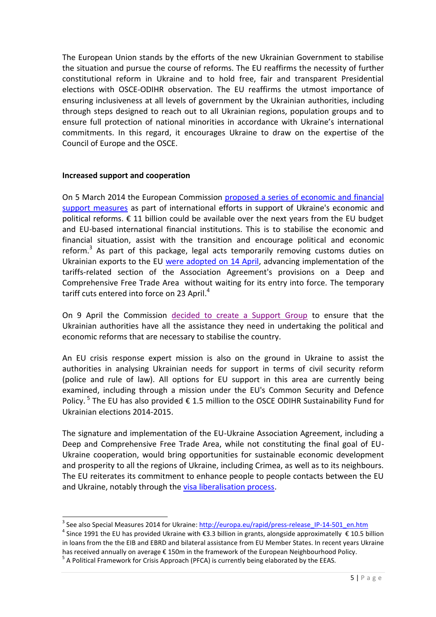The European Union stands by the efforts of the new Ukrainian Government to stabilise the situation and pursue the course of reforms. The EU reaffirms the necessity of further constitutional reform in Ukraine and to hold free, fair and transparent Presidential elections with OSCE-ODIHR observation. The EU reaffirms the utmost importance of ensuring inclusiveness at all levels of government by the Ukrainian authorities, including through steps designed to reach out to all Ukrainian regions, population groups and to ensure full protection of national minorities in accordance with Ukraine's international commitments. In this regard, it encourages Ukraine to draw on the expertise of the Council of Europe and the OSCE.

# **Increased support and cooperation**

1

On 5 March 2014 the European Commission [proposed a series of economic and financial](http://europa.eu/rapid/press-release_MEMO-14-159_en.htm)  [support measures](http://europa.eu/rapid/press-release_MEMO-14-159_en.htm) as part of international efforts in support of Ukraine's economic and political reforms.  $\epsilon$  11 billion could be available over the next years from the EU budget and EU-based international financial institutions. This is to stabilise the economic and financial situation, assist with the transition and encourage political and economic reform.<sup>3</sup> As part of this package, legal acts temporarily removing customs duties on Ukrainian exports to the EU [were adopted on 14 April,](http://www.consilium.europa.eu/uedocs/cms_data/docs/pressdata/EN/foraff/142198.pdf) advancing implementation of the tariffs-related section of the Association Agreement's provisions on a Deep and Comprehensive Free Trade Area without waiting for its entry into force. The temporary tariff cuts entered into force on 23 April. $4$ 

On 9 April the Commission [decided to create a Support Group](http://europa.eu/rapid/press-release_IP-14-413_en.htm) to ensure that the Ukrainian authorities have all the assistance they need in undertaking the political and economic reforms that are necessary to stabilise the country.

An EU crisis response expert mission is also on the ground in Ukraine to assist the authorities in analysing Ukrainian needs for support in terms of civil security reform (police and rule of law). All options for EU support in this area are currently being examined, including through a mission under the EU's Common Security and Defence Policy.<sup>5</sup> The EU has also provided  $\epsilon$  1.5 million to the OSCE ODIHR Sustainability Fund for Ukrainian elections 2014-2015.

The signature and implementation of the EU-Ukraine Association Agreement, including a Deep and Comprehensive Free Trade Area, while not constituting the final goal of EU-Ukraine cooperation, would bring opportunities for sustainable economic development and prosperity to all the regions of Ukraine, including Crimea, as well as to its neighbours. The EU reiterates its commitment to enhance people to people contacts between the EU and Ukraine, notably through the [visa liberalisation process.](http://ec.europa.eu/dgs/home-affairs/what-we-do/policies/international-affairs/eastern-partnership/visa-liberalisation-moldova-ukraine-and-georgia/index_en.htm)

<sup>&</sup>lt;sup>3</sup> See also Special Measures 2014 for Ukraine: *http://europa.eu/rapid/press-release* IP-14-501 en.htm

<sup>&</sup>lt;sup>4</sup> Since 1991 the EU has provided Ukraine with €3.3 billion in grants, alongside approximatelly € 10.5 billion in loans from the the EIB and EBRD and bilateral assistance from EU Member States. In recent years Ukraine has received annually on average € 150m in the framework of the European Neighbourhood Policy.  $<sup>5</sup>$  A Political Framework for Crisis Approach (PFCA) is currently being elaborated by the EEAS.</sup>